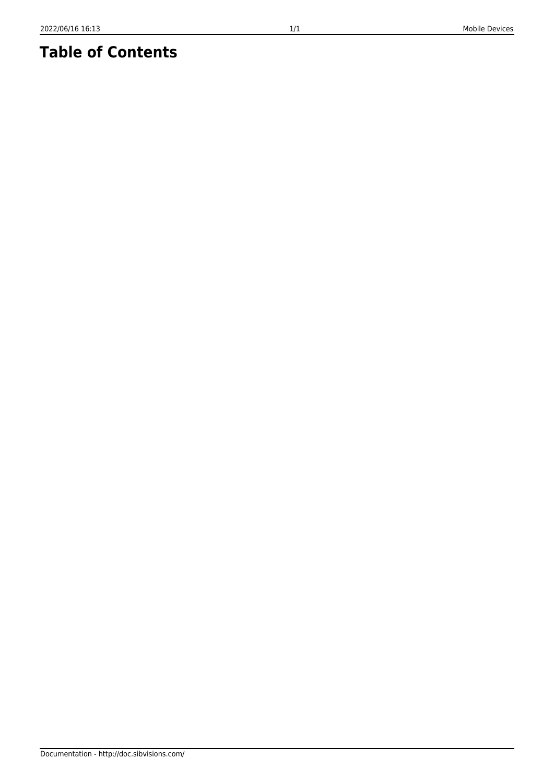## **Table of Contents**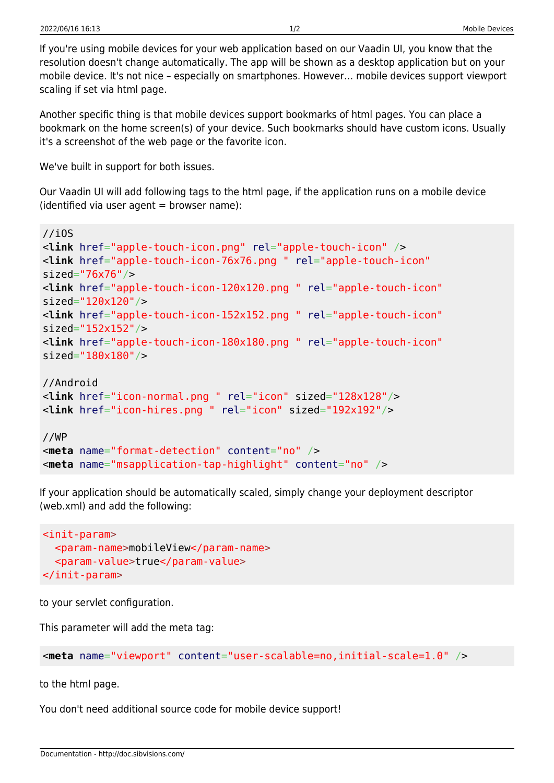If you're using mobile devices for your web application based on our Vaadin UI, you know that the resolution doesn't change automatically. The app will be shown as a desktop application but on your mobile device. It's not nice – especially on smartphones. However… mobile devices support viewport scaling if set via html page.

Another specific thing is that mobile devices support bookmarks of html pages. You can place a bookmark on the home screen(s) of your device. Such bookmarks should have custom icons. Usually it's a screenshot of the web page or the favorite icon.

We've built in support for both issues.

Our Vaadin UI will add following tags to the html page, if the application runs on a mobile device  $(identified via user agent = browser name):$ 

```
//iOS
<link href="apple-touch-icon.png" rel="apple-touch-icon" />
<link href="apple-touch-icon-76x76.png " rel="apple-touch-icon"
sized="76x76"/>
<link href="apple-touch-icon-120x120.png " rel="apple-touch-icon"
sized="120x120"/>
<link href="apple-touch-icon-152x152.png " rel="apple-touch-icon"
sized="152x152"/>
<link href="apple-touch-icon-180x180.png " rel="apple-touch-icon"
sized="180x180"/>
//Android
<link href="icon-normal.png " rel="icon" sized="128x128"/>
<link href="icon-hires.png " rel="icon" sized="192x192"/>
//WP
<meta name="format-detection" content="no" />
<meta name="msapplication-tap-highlight" content="no" />
```
If your application should be automatically scaled, simply change your deployment descriptor (web.xml) and add the following:

```
<init-param>
   <param-name>mobileView</param-name>
   <param-value>true</param-value>
</init-param>
```
to your servlet configuration.

This parameter will add the meta tag:

<**[meta](http://december.com/html/4/element/meta.html)** name="viewport" content="user-scalable=no,initial-scale=1.0" />

to the html page.

You don't need additional source code for mobile device support!